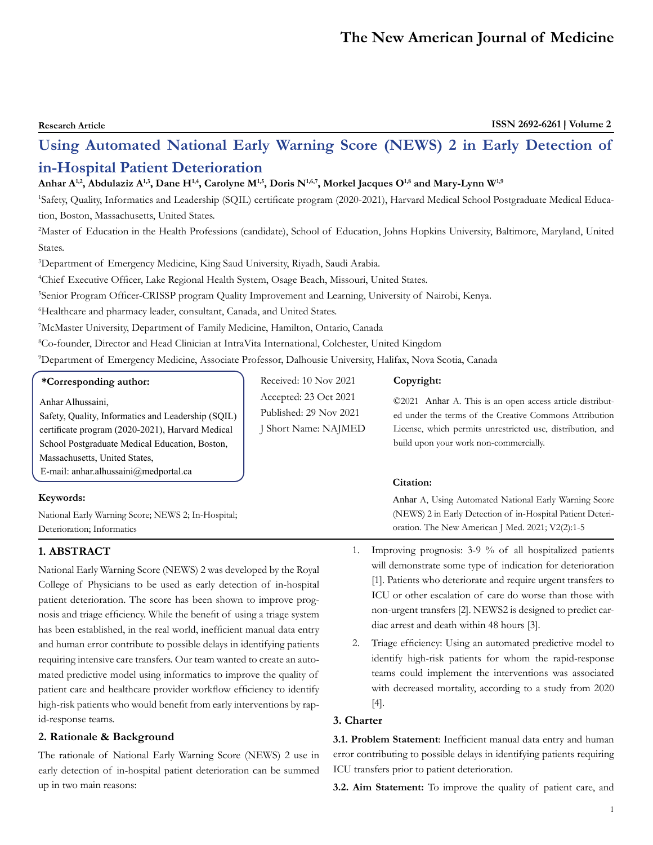# **Research Article ISSN 2692-6261 Volume 2 Using Automated National Early Warning Score (NEWS) 2 in Early Detection of in-Hospital Patient Deterioration**

# Anhar A<sup>1,2</sup>, Abdulaziz A<sup>1,3</sup>, Dane H<sup>1,4</sup>, Carolyne M<sup>1,5</sup>, Doris N<sup>1,6,7</sup>, Morkel Jacques O<sup>1,8</sup> and Mary-Lynn W<sup>1,9</sup>

1 Safety, Quality, Informatics and Leadership (SQIL) certificate program (2020-2021), Harvard Medical School Postgraduate Medical Education, Boston, Massachusetts, United States.

2 Master of Education in the Health Professions (candidate), School of Education, Johns Hopkins University, Baltimore, Maryland, United States.

3 Department of Emergency Medicine, King Saud University, Riyadh, Saudi Arabia.

4 Chief Executive Officer, Lake Regional Health System, Osage Beach, Missouri, United States.

5 Senior Program Officer-CRISSP program Quality Improvement and Learning, University of Nairobi, Kenya.

6 Healthcare and pharmacy leader, consultant, Canada, and United States.

7 McMaster University, Department of Family Medicine, Hamilton, Ontario, Canada

8 Co-founder, Director and Head Clinician at IntraVita International, Colchester, United Kingdom

9 Department of Emergency Medicine, Associate Professor, Dalhousie University, Halifax, Nova Scotia, Canada

Received: 10 Nov 2021 Accepted: 23 Oct 2021 Published: 29 Nov 2021 J Short Name: NAJMED

# **\*Corresponding author:**

Anhar Alhussaini,

Safety, Quality, Informatics and Leadership (SQIL) certificate program (2020-2021), Harvard Medical School Postgraduate Medical Education, Boston, Massachusetts, United States, E-mail: anhar.alhussaini@medportal.ca

# **Keywords:**

National Early Warning Score; NEWS 2; In-Hospital; Deterioration; Informatics

# **1. ABSTRACT**

National Early Warning Score (NEWS) 2 was developed by the Royal College of Physicians to be used as early detection of in-hospital patient deterioration. The score has been shown to improve prognosis and triage efficiency. While the benefit of using a triage system has been established, in the real world, inefficient manual data entry and human error contribute to possible delays in identifying patients requiring intensive care transfers. Our team wanted to create an automated predictive model using informatics to improve the quality of patient care and healthcare provider workflow efficiency to identify high-risk patients who would benefit from early interventions by rapid-response teams.

# **2. Rationale & Background**

The rationale of National Early Warning Score (NEWS) 2 use in early detection of in-hospital patient deterioration can be summed up in two main reasons:

#### **Copyright:**

©2021 Anhar A. This is an open access article distributed under the terms of the Creative Commons Attribution License, which permits unrestricted use, distribution, and build upon your work non-commercially.

#### **Citation:**

Anhar A, Using Automated National Early Warning Score (NEWS) 2 in Early Detection of in-Hospital Patient Deterioration. The New American J Med. 2021; V2(2):1-5

- 1. Improving prognosis: 3-9 % of all hospitalized patients will demonstrate some type of indication for deterioration [1]. Patients who deteriorate and require urgent transfers to ICU or other escalation of care do worse than those with non-urgent transfers [2]. NEWS2 is designed to predict cardiac arrest and death within 48 hours [3].
- 2. Triage efficiency: Using an automated predictive model to identify high-risk patients for whom the rapid-response teams could implement the interventions was associated with decreased mortality, according to a study from 2020 [4].

#### **3. Charter**

**3.1. Problem Statement**: Inefficient manual data entry and human error contributing to possible delays in identifying patients requiring ICU transfers prior to patient deterioration.

**3.2. Aim Statement:** To improve the quality of patient care, and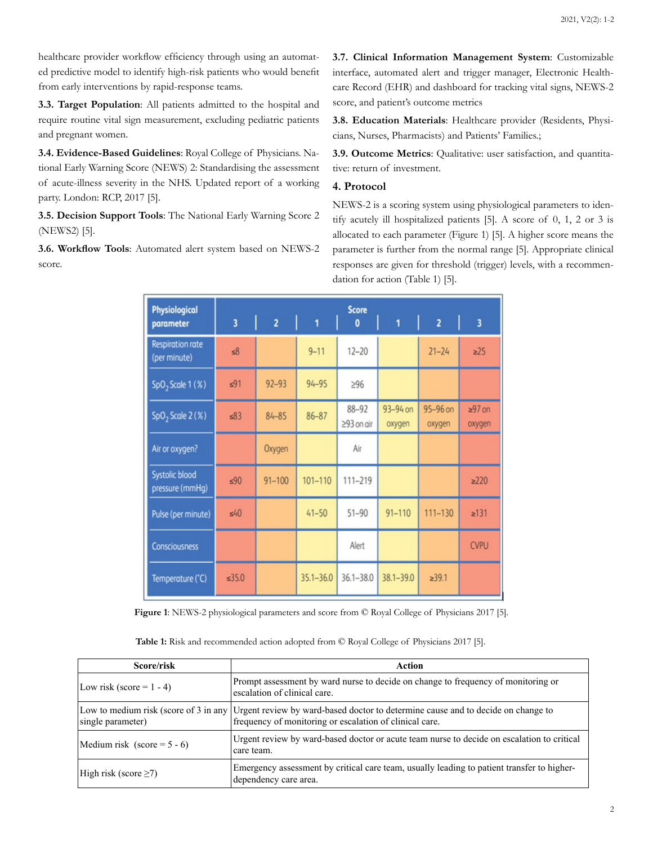healthcare provider workflow efficiency through using an automated predictive model to identify high-risk patients who would benefit from early interventions by rapid-response teams.

**3.3. Target Population**: All patients admitted to the hospital and require routine vital sign measurement, excluding pediatric patients and pregnant women.

**3.4. Evidence-Based Guidelines**: Royal College of Physicians. National Early Warning Score (NEWS) 2: Standardising the assessment of acute-illness severity in the NHS. Updated report of a working party. London: RCP, 2017 [5].

**3.5. Decision Support Tools**: The National Early Warning Score 2 (NEWS2) [5].

**3.6. Workflow Tools**: Automated alert system based on NEWS-2 score.

**3.7. Clinical Information Management System**: Customizable interface, automated alert and trigger manager, Electronic Healthcare Record (EHR) and dashboard for tracking vital signs, NEWS-2 score, and patient's outcome metrics

**3.8. Education Materials**: Healthcare provider (Residents, Physicians, Nurses, Pharmacists) and Patients' Families.;

**3.9. Outcome Metrics**: Qualitative: user satisfaction, and quantitative: return of investment.

### **4. Protocol**

NEWS-2 is a scoring system using physiological parameters to identify acutely ill hospitalized patients [5]. A score of 0, 1, 2 or 3 is allocated to each parameter (Figure 1) [5]. A higher score means the parameter is further from the normal range [5]. Appropriate clinical responses are given for threshold (trigger) levels, with a recommendation for action (Table 1) [5].

| <b>Physiological</b>                    | <b>Score</b> |                |               |                               |                    |                    |                         |  |
|-----------------------------------------|--------------|----------------|---------------|-------------------------------|--------------------|--------------------|-------------------------|--|
| parameter                               | 3            | $\overline{2}$ | 1             | 0                             | 1                  | $\overline{2}$     | $\overline{\mathbf{3}}$ |  |
| <b>Respiration rate</b><br>(per minute) | 58           |                | $9 - 11$      | $12 - 20$                     |                    | $21 - 24$          | $\geq$ 25               |  |
| $SpO2$ Scale 1 (%)                      | 591          | $92 - 93$      | $94 - 95$     | $\geq 96$                     |                    |                    |                         |  |
| $SpO2$ Scale 2 (%)                      | $\leq 83$    | $84 - 85$      | $86 - 87$     | $88 - 92$<br>$\geq$ 93 on air | 93-94 on<br>oxygen | 95-96 on<br>oxygen | $297$ on<br>oxygen      |  |
| Air or oxygen?                          |              | Oxygen         |               | Air                           |                    |                    |                         |  |
| Systolic blood<br>pressure (mmHg)       | 590          | $91 - 100$     | $101 - 110$   | 111-219                       |                    |                    | $\geq$ 220              |  |
| Pulse (per minute)                      | 540          |                | $41 - 50$     | $51 - 90$                     | $91 - 110$         | $111 - 130$        | $\geq 131$              |  |
| <b>Consciousness</b>                    |              |                |               | Alert                         |                    |                    | <b>CVPU</b>             |  |
| Temperature (°C)                        | 535.0        |                | $35.1 - 36.0$ | $36.1 - 38.0$                 | $38.1 - 39.0$      | 239.1              |                         |  |

**Figure 1**: NEWS-2 physiological parameters and score from © Royal College of Physicians 2017 [5].

**Table 1:** Risk and recommended action adopted from © Royal College of Physicians 2017 [5].

| Score/risk                     | Action                                                                                                                                                                            |  |  |  |  |
|--------------------------------|-----------------------------------------------------------------------------------------------------------------------------------------------------------------------------------|--|--|--|--|
| Low risk (score = $1 - 4$ )    | Prompt assessment by ward nurse to decide on change to frequency of monitoring or<br>escalation of clinical care.                                                                 |  |  |  |  |
| single parameter)              | Low to medium risk (score of 3 in any Urgent review by ward-based doctor to determine cause and to decide on change to<br>frequency of monitoring or escalation of clinical care. |  |  |  |  |
| Medium risk (score = $5 - 6$ ) | Urgent review by ward-based doctor or acute team nurse to decide on escalation to critical<br>care team.                                                                          |  |  |  |  |
| High risk (score $\geq$ 7)     | Emergency assessment by critical care team, usually leading to patient transfer to higher-<br>dependency care area.                                                               |  |  |  |  |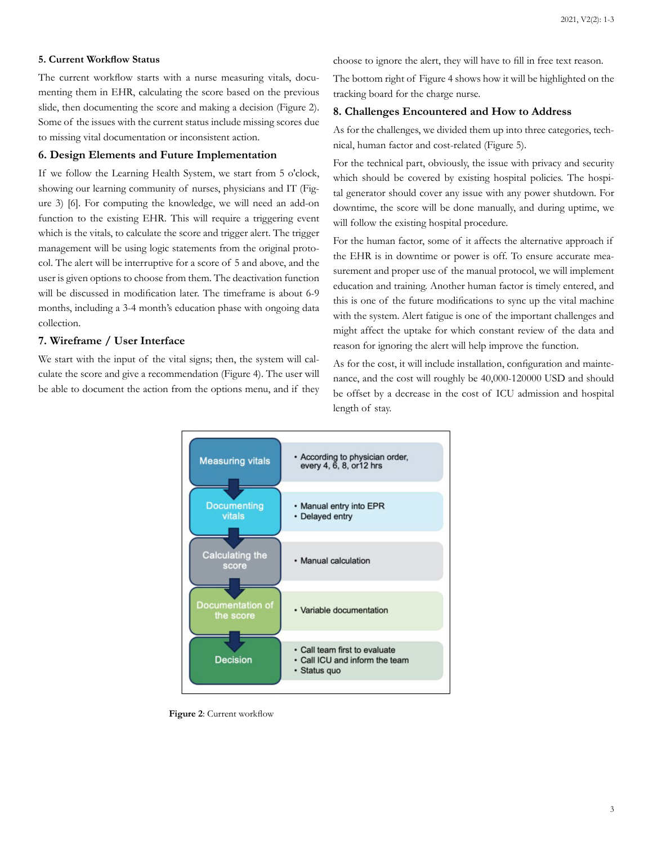#### **5. Current Workflow Status**

The current workflow starts with a nurse measuring vitals, documenting them in EHR, calculating the score based on the previous slide, then documenting the score and making a decision (Figure 2). Some of the issues with the current status include missing scores due to missing vital documentation or inconsistent action.

#### **6. Design Elements and Future Implementation**

If we follow the Learning Health System, we start from 5 o'clock, showing our learning community of nurses, physicians and IT (Figure 3) [6]. For computing the knowledge, we will need an add-on function to the existing EHR. This will require a triggering event which is the vitals, to calculate the score and trigger alert. The trigger management will be using logic statements from the original protocol. The alert will be interruptive for a score of 5 and above, and the user is given options to choose from them. The deactivation function will be discussed in modification later. The timeframe is about 6-9 months, including a 3-4 month's education phase with ongoing data collection.

#### **7. Wireframe / User Interface**

We start with the input of the vital signs; then, the system will calculate the score and give a recommendation (Figure 4). The user will be able to document the action from the options menu, and if they choose to ignore the alert, they will have to fill in free text reason.

The bottom right of Figure 4 shows how it will be highlighted on the tracking board for the charge nurse.

#### **8. Challenges Encountered and How to Address**

As for the challenges, we divided them up into three categories, technical, human factor and cost-related (Figure 5).

For the technical part, obviously, the issue with privacy and security which should be covered by existing hospital policies. The hospital generator should cover any issue with any power shutdown. For downtime, the score will be done manually, and during uptime, we will follow the existing hospital procedure.

For the human factor, some of it affects the alternative approach if the EHR is in downtime or power is off. To ensure accurate measurement and proper use of the manual protocol, we will implement education and training. Another human factor is timely entered, and this is one of the future modifications to sync up the vital machine with the system. Alert fatigue is one of the important challenges and might affect the uptake for which constant review of the data and reason for ignoring the alert will help improve the function.

As for the cost, it will include installation, configuration and maintenance, and the cost will roughly be 40,000-120000 USD and should be offset by a decrease in the cost of ICU admission and hospital length of stay.



**Figure 2**: Current workflow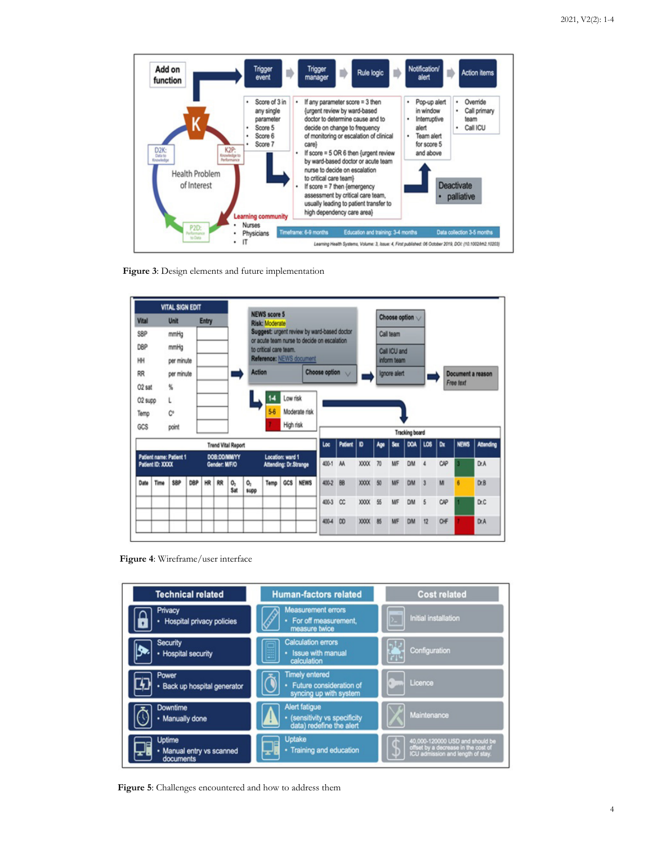

**Figure 3**: Design elements and future implementation



**Figure 4**: Wireframe/user interface



**Figure 5**: Challenges encountered and how to address them